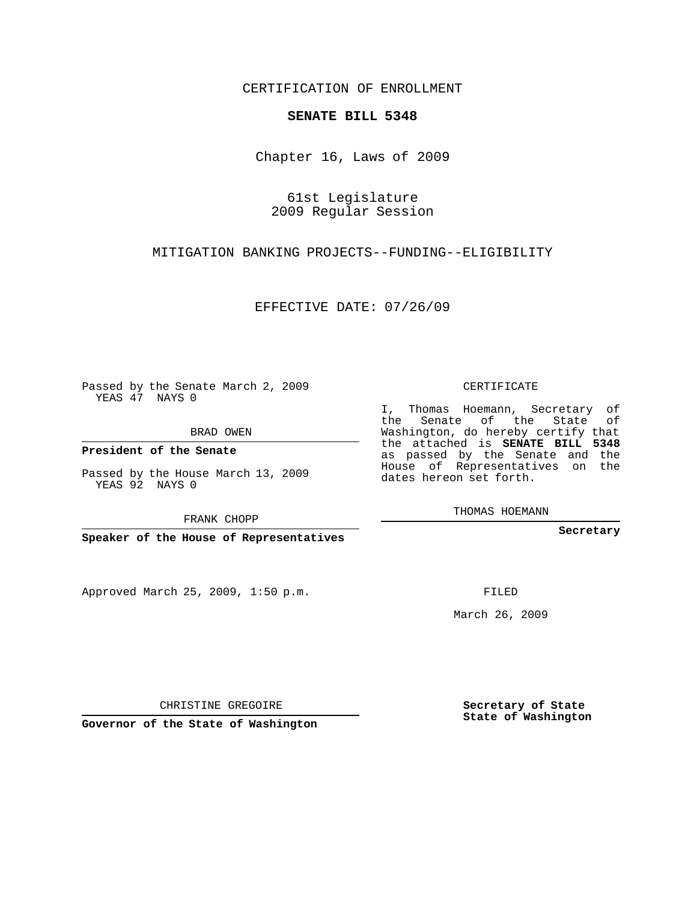## CERTIFICATION OF ENROLLMENT

## **SENATE BILL 5348**

Chapter 16, Laws of 2009

61st Legislature 2009 Regular Session

MITIGATION BANKING PROJECTS--FUNDING--ELIGIBILITY

EFFECTIVE DATE: 07/26/09

Passed by the Senate March 2, 2009 YEAS 47 NAYS 0

BRAD OWEN

**President of the Senate**

Passed by the House March 13, 2009 YEAS 92 NAYS 0

FRANK CHOPP

**Speaker of the House of Representatives**

Approved March 25, 2009, 1:50 p.m.

CERTIFICATE

I, Thomas Hoemann, Secretary of the Senate of the State of Washington, do hereby certify that the attached is **SENATE BILL 5348** as passed by the Senate and the House of Representatives on the

**Secretary**

FILED

March 26, 2009

**Secretary of State State of Washington**

CHRISTINE GREGOIRE

**Governor of the State of Washington**

dates hereon set forth.

THOMAS HOEMANN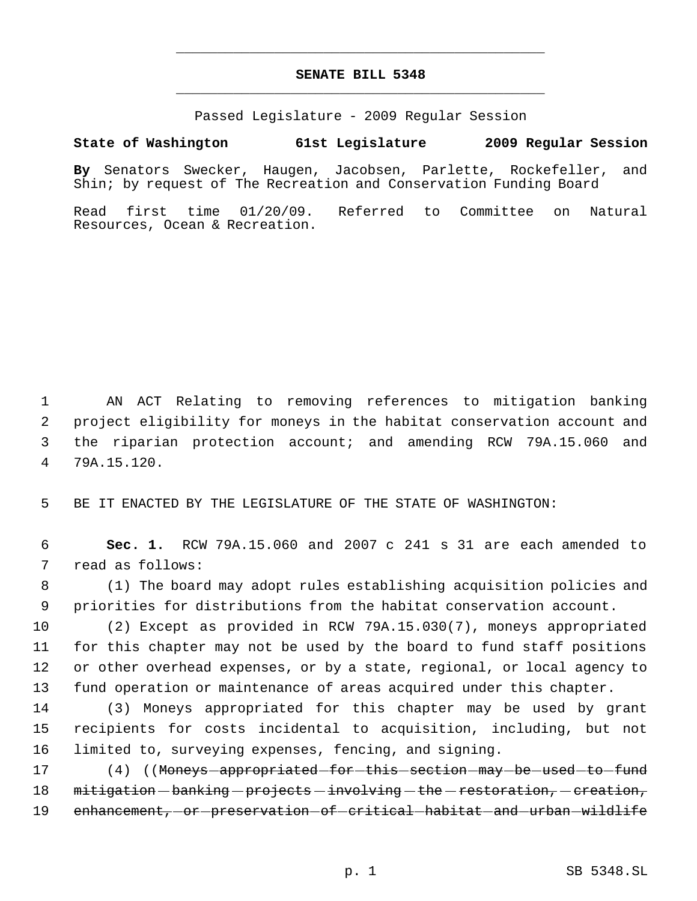## **SENATE BILL 5348** \_\_\_\_\_\_\_\_\_\_\_\_\_\_\_\_\_\_\_\_\_\_\_\_\_\_\_\_\_\_\_\_\_\_\_\_\_\_\_\_\_\_\_\_\_

\_\_\_\_\_\_\_\_\_\_\_\_\_\_\_\_\_\_\_\_\_\_\_\_\_\_\_\_\_\_\_\_\_\_\_\_\_\_\_\_\_\_\_\_\_

Passed Legislature - 2009 Regular Session

## **State of Washington 61st Legislature 2009 Regular Session**

**By** Senators Swecker, Haugen, Jacobsen, Parlette, Rockefeller, and Shin; by request of The Recreation and Conservation Funding Board

Read first time 01/20/09. Referred to Committee on Natural Resources, Ocean & Recreation.

 AN ACT Relating to removing references to mitigation banking project eligibility for moneys in the habitat conservation account and the riparian protection account; and amending RCW 79A.15.060 and 79A.15.120.

5 BE IT ENACTED BY THE LEGISLATURE OF THE STATE OF WASHINGTON:

 6 **Sec. 1.** RCW 79A.15.060 and 2007 c 241 s 31 are each amended to 7 read as follows:

 8 (1) The board may adopt rules establishing acquisition policies and 9 priorities for distributions from the habitat conservation account.

 (2) Except as provided in RCW 79A.15.030(7), moneys appropriated for this chapter may not be used by the board to fund staff positions or other overhead expenses, or by a state, regional, or local agency to fund operation or maintenance of areas acquired under this chapter.

14 (3) Moneys appropriated for this chapter may be used by grant 15 recipients for costs incidental to acquisition, including, but not 16 limited to, surveying expenses, fencing, and signing.

17 (4) ((Moneys appropriated for this section may be used to fund 18 mitigation - banking - projects - involving - the - restoration, - creation, 19 enhancement, or preservation of critical habitat and urban wildlife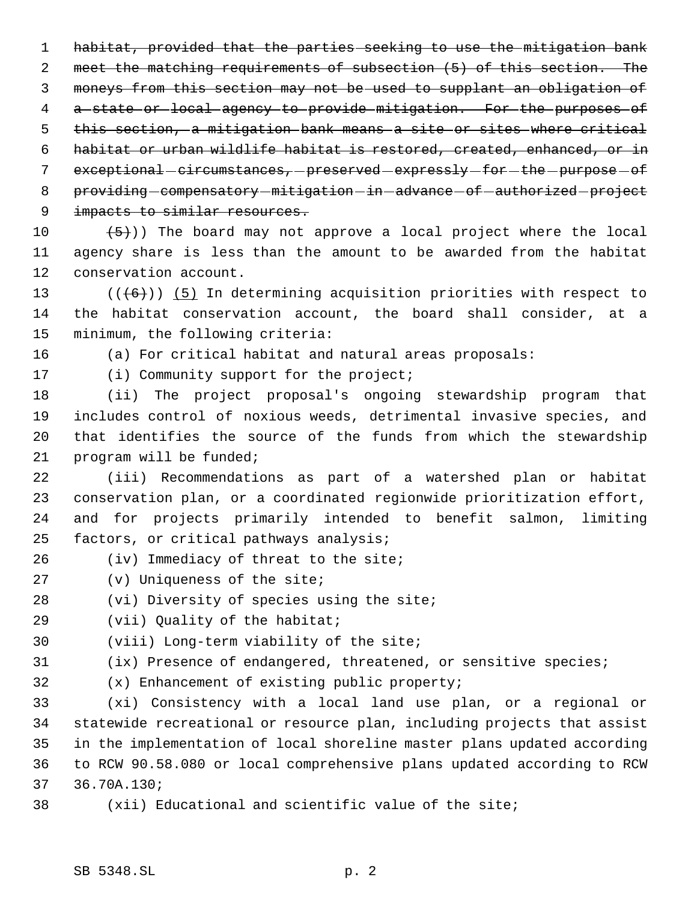1 habitat, provided that the parties seeking to use the mitigation bank meet the matching requirements of subsection (5) of this section. The moneys from this section may not be used to supplant an obligation of a state or local agency to provide mitigation. For the purposes of this section, a mitigation bank means a site or sites where critical habitat or urban wildlife habitat is restored, created, enhanced, or in 7 exceptional - circumstances, - preserved - expressly - for - the - purpose - of 8 providing-compensatory-mitigation-in-advance-of-authorized-project 9 impacts to similar resources.

10  $(5)$ )) The board may not approve a local project where the local agency share is less than the amount to be awarded from the habitat conservation account.

13  $((+6))$  (5) In determining acquisition priorities with respect to the habitat conservation account, the board shall consider, at a minimum, the following criteria:

(a) For critical habitat and natural areas proposals:

(i) Community support for the project;

 (ii) The project proposal's ongoing stewardship program that includes control of noxious weeds, detrimental invasive species, and that identifies the source of the funds from which the stewardship program will be funded;

 (iii) Recommendations as part of a watershed plan or habitat conservation plan, or a coordinated regionwide prioritization effort, and for projects primarily intended to benefit salmon, limiting factors, or critical pathways analysis;

(iv) Immediacy of threat to the site;

(v) Uniqueness of the site;

28 (vi) Diversity of species using the site;

(vii) Quality of the habitat;

(viii) Long-term viability of the site;

(ix) Presence of endangered, threatened, or sensitive species;

(x) Enhancement of existing public property;

 (xi) Consistency with a local land use plan, or a regional or statewide recreational or resource plan, including projects that assist in the implementation of local shoreline master plans updated according to RCW 90.58.080 or local comprehensive plans updated according to RCW 36.70A.130;

(xii) Educational and scientific value of the site;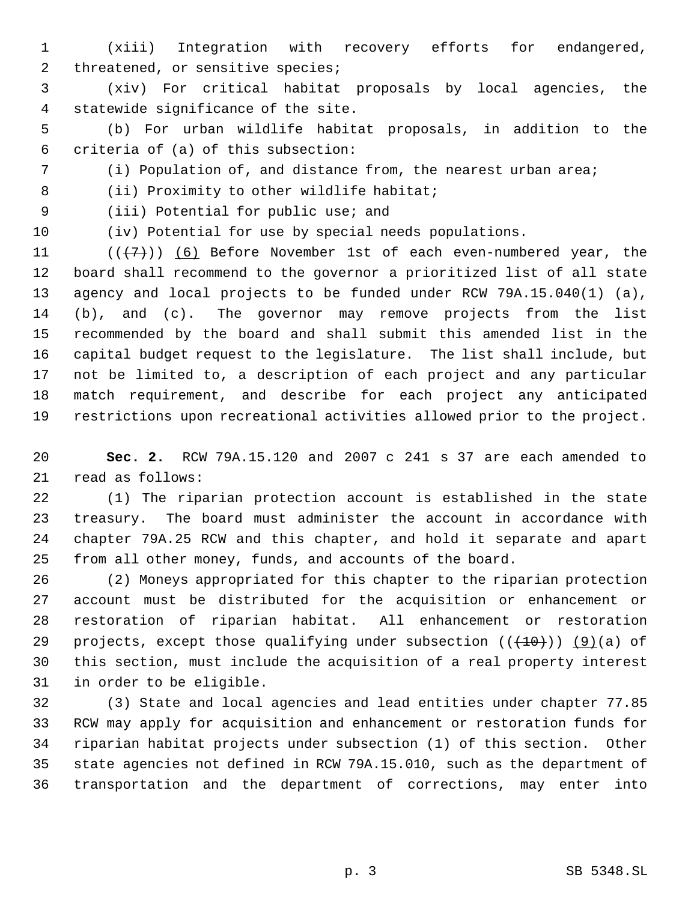- (xiii) Integration with recovery efforts for endangered, 2 threatened, or sensitive species;
- (xiv) For critical habitat proposals by local agencies, the statewide significance of the site.
- (b) For urban wildlife habitat proposals, in addition to the criteria of (a) of this subsection:
- (i) Population of, and distance from, the nearest urban area;
- 8 (ii) Proximity to other wildlife habitat;

(iii) Potential for public use; and

(iv) Potential for use by special needs populations.

 $((+7)^i)$  (6) Before November 1st of each even-numbered year, the board shall recommend to the governor a prioritized list of all state agency and local projects to be funded under RCW 79A.15.040(1) (a), (b), and (c). The governor may remove projects from the list recommended by the board and shall submit this amended list in the capital budget request to the legislature. The list shall include, but not be limited to, a description of each project and any particular match requirement, and describe for each project any anticipated restrictions upon recreational activities allowed prior to the project.

 **Sec. 2.** RCW 79A.15.120 and 2007 c 241 s 37 are each amended to read as follows:

 (1) The riparian protection account is established in the state treasury. The board must administer the account in accordance with chapter 79A.25 RCW and this chapter, and hold it separate and apart from all other money, funds, and accounts of the board.

 (2) Moneys appropriated for this chapter to the riparian protection account must be distributed for the acquisition or enhancement or restoration of riparian habitat. All enhancement or restoration 29 projects, except those qualifying under subsection  $((+10))$   $(9)(a)$  of this section, must include the acquisition of a real property interest in order to be eligible.

 (3) State and local agencies and lead entities under chapter 77.85 RCW may apply for acquisition and enhancement or restoration funds for riparian habitat projects under subsection (1) of this section. Other state agencies not defined in RCW 79A.15.010, such as the department of transportation and the department of corrections, may enter into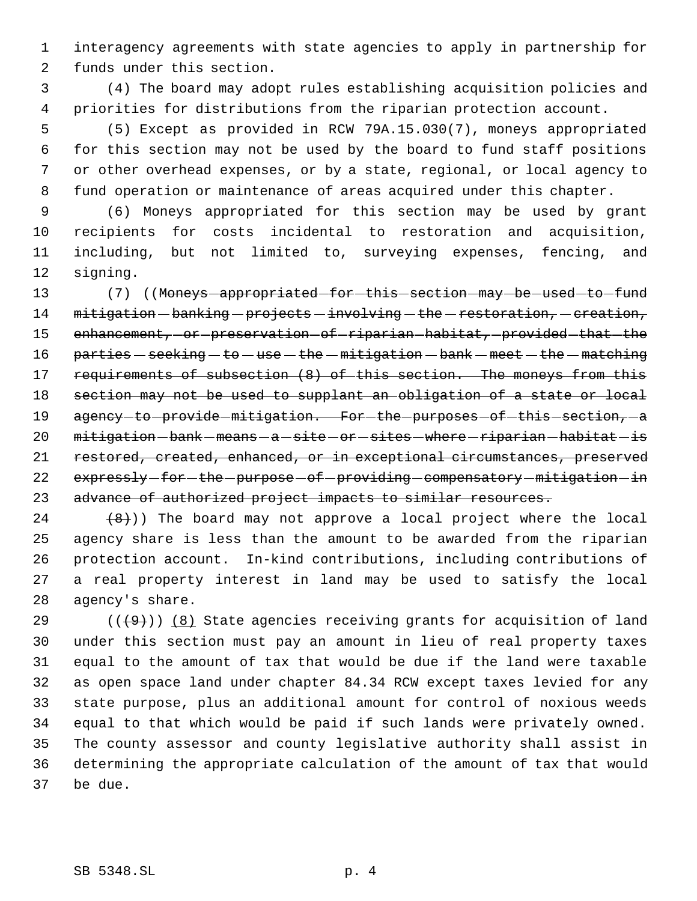interagency agreements with state agencies to apply in partnership for funds under this section.

 (4) The board may adopt rules establishing acquisition policies and priorities for distributions from the riparian protection account.

 (5) Except as provided in RCW 79A.15.030(7), moneys appropriated for this section may not be used by the board to fund staff positions or other overhead expenses, or by a state, regional, or local agency to fund operation or maintenance of areas acquired under this chapter.

 (6) Moneys appropriated for this section may be used by grant recipients for costs incidental to restoration and acquisition, including, but not limited to, surveying expenses, fencing, and signing.

13 (7) ((Moneys-appropriated-for-this-section-may-be-used-to-fund mitigation  $-$  banking  $-$  projects  $-$  involving  $-$  the  $-$  restoration,  $-$  creation, 15 enhancement, or preservation of riparian habitat, provided that the 16 parties - seeking - to - use - the - mitigation - bank - meet - the - matching 17 requirements of subsection (8) of this section. The moneys from this section may not be used to supplant an obligation of a state or local 19 agency-to-provide-mitigation. For-the-purposes-of-this-section,-a 20 mitigation-bank-means-a-site-or-sites-where-riparian-habitat-is restored, created, enhanced, or in exceptional circumstances, preserved 22 expressly-for-the-purpose-of-providing-compensatory-mitigation-in 23 advance of authorized project impacts to similar resources.

 $(8)$ )) The board may not approve a local project where the local agency share is less than the amount to be awarded from the riparian protection account. In-kind contributions, including contributions of a real property interest in land may be used to satisfy the local agency's share.

 $((+9))$  (8) State agencies receiving grants for acquisition of land under this section must pay an amount in lieu of real property taxes equal to the amount of tax that would be due if the land were taxable as open space land under chapter 84.34 RCW except taxes levied for any state purpose, plus an additional amount for control of noxious weeds equal to that which would be paid if such lands were privately owned. The county assessor and county legislative authority shall assist in determining the appropriate calculation of the amount of tax that would be due.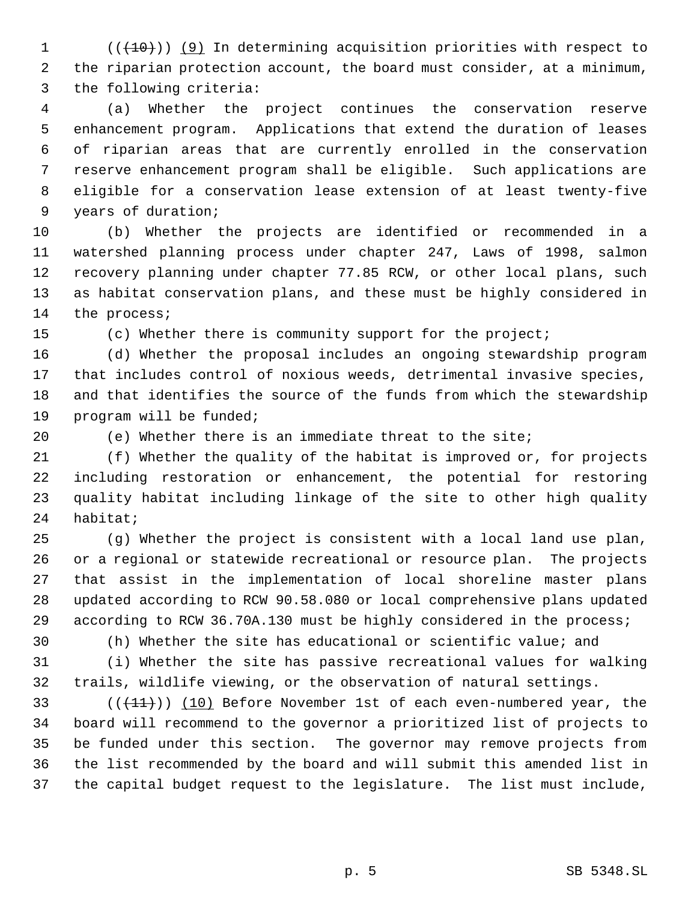1 (( $(10)$ ) (9) In determining acquisition priorities with respect to the riparian protection account, the board must consider, at a minimum, the following criteria:

 (a) Whether the project continues the conservation reserve enhancement program. Applications that extend the duration of leases of riparian areas that are currently enrolled in the conservation reserve enhancement program shall be eligible. Such applications are eligible for a conservation lease extension of at least twenty-five years of duration;

 (b) Whether the projects are identified or recommended in a watershed planning process under chapter 247, Laws of 1998, salmon recovery planning under chapter 77.85 RCW, or other local plans, such as habitat conservation plans, and these must be highly considered in the process;

(c) Whether there is community support for the project;

 (d) Whether the proposal includes an ongoing stewardship program that includes control of noxious weeds, detrimental invasive species, and that identifies the source of the funds from which the stewardship program will be funded;

(e) Whether there is an immediate threat to the site;

 (f) Whether the quality of the habitat is improved or, for projects including restoration or enhancement, the potential for restoring quality habitat including linkage of the site to other high quality habitat;

 (g) Whether the project is consistent with a local land use plan, or a regional or statewide recreational or resource plan. The projects that assist in the implementation of local shoreline master plans updated according to RCW 90.58.080 or local comprehensive plans updated according to RCW 36.70A.130 must be highly considered in the process;

(h) Whether the site has educational or scientific value; and

 (i) Whether the site has passive recreational values for walking trails, wildlife viewing, or the observation of natural settings.

33 (( $(11)$ )) (10) Before November 1st of each even-numbered year, the board will recommend to the governor a prioritized list of projects to be funded under this section. The governor may remove projects from the list recommended by the board and will submit this amended list in the capital budget request to the legislature. The list must include,